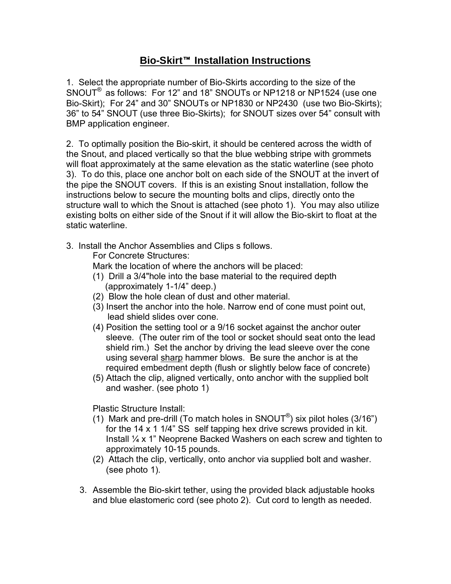## **Bio-Skirt<sup>™</sup> Installation Instructions**

1. Select the appropriate number of Bio-Skirts according to the size of the SNOUT® as follows: For 12" and 18" SNOUTs or NP1218 or NP1524 (use one Bio-Skirt); For 24" and 30" SNOUTs or NP1830 or NP2430 (use two Bio-Skirts); 36" to 54" SNOUT (use three Bio-Skirts); for SNOUT sizes over 54" consult with BMP application engineer.

2. To optimally position the Bio-skirt, it should be centered across the width of the Snout, and placed vertically so that the blue webbing stripe with grommets will float approximately at the same elevation as the static waterline (see photo 3). To do this, place one anchor bolt on each side of the SNOUT at the invert of the pipe the SNOUT covers. If this is an existing Snout installation, follow the instructions below to secure the mounting bolts and clips, directly onto the structure wall to which the Snout is attached (see photo 1). You may also utilize existing bolts on either side of the Snout if it will allow the Bio-skirt to float at the static waterline.

3. Install the Anchor Assemblies and Clips s follows.

For Concrete Structures:

- Mark the location of where the anchors will be placed:
- (1) Drill a 3/4"hole into the base material to the required depth (approximately 1-1/4" deep.)
- (2) Blow the hole clean of dust and other material.
- (3) Insert the anchor into the hole. Narrow end of cone must point out, lead shield slides over cone.
- (4) Position the setting tool or a 9/16 socket against the anchor outer sleeve. (The outer rim of the tool or socket should seat onto the lead shield rim.) Set the anchor by driving the lead sleeve over the cone using several sharp hammer blows. Be sure the anchor is at the required embedment depth (flush or slightly below face of concrete)
- (5) Attach the clip, aligned vertically, onto anchor with the supplied bolt and washer. (see photo 1)

Plastic Structure Install:

- (1) Mark and pre-drill (To match holes in SNOUT<sup>®</sup>) six pilot holes (3/16<sup>"</sup>) for the 14 x 1 1/4" SS self tapping hex drive screws provided in kit. Install  $\frac{1}{4}$  x 1" Neoprene Backed Washers on each screw and tighten to approximately 10-15 pounds.
- (2) Attach the clip, vertically, onto anchor via supplied bolt and washer. (see photo 1).
- 3. Assemble the Bio-skirt tether, using the provided black adjustable hooks and blue elastomeric cord (see photo 2). Cut cord to length as needed.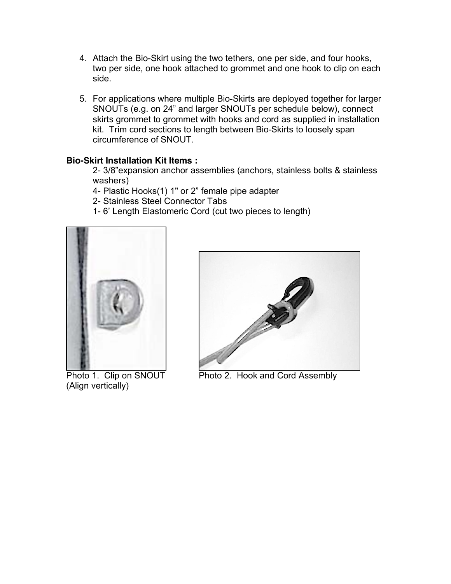- 4. Attach the Bio-Skirt using the two tethers, one per side, and four hooks, two per side, one hook attached to grommet and one hook to clip on each side.
- 5. For applications where multiple Bio-Skirts are deployed together for larger SNOUTs (e.g. on 24" and larger SNOUTs per schedule below), connect skirts grommet to grommet with hooks and cord as supplied in installation kit. Trim cord sections to length between Bio-Skirts to loosely span circumference of SNOUT.

## **Bio-Skirt Installation Kit Items :**

2- 3/8"expansion anchor assemblies (anchors, stainless bolts & stainless washers)

- 4- Plastic Hooks(1) 1" or 2" female pipe adapter
- 2- Stainless Steel Connector Tabs
- 1- 6' Length Elastomeric Cord (cut two pieces to length)



 (Align vertically)



Photo 1. Clip on SNOUT Photo 2. Hook and Cord Assembly